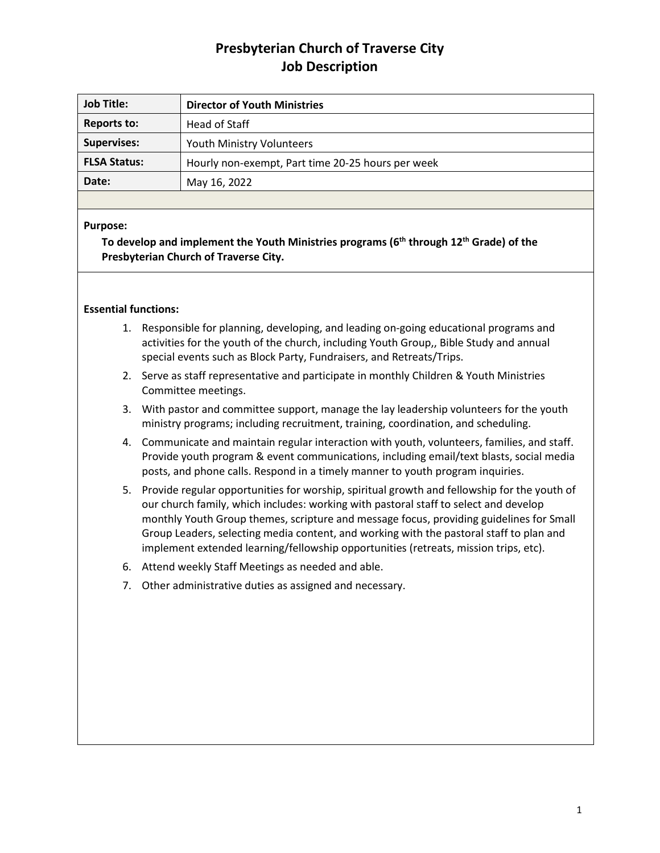# **Presbyterian Church of Traverse City Job Description**

| <b>Job Title:</b>   | <b>Director of Youth Ministries</b>               |
|---------------------|---------------------------------------------------|
| <b>Reports to:</b>  | Head of Staff                                     |
| <b>Supervises:</b>  | <b>Youth Ministry Volunteers</b>                  |
| <b>FLSA Status:</b> | Hourly non-exempt, Part time 20-25 hours per week |
| Date:               | May 16, 2022                                      |
|                     |                                                   |

## **Purpose:**

**To develop and implement the Youth Ministries programs (6 th through 12th Grade) of the Presbyterian Church of Traverse City.**

## **Essential functions:**

- 1. Responsible for planning, developing, and leading on-going educational programs and activities for the youth of the church, including Youth Group,, Bible Study and annual special events such as Block Party, Fundraisers, and Retreats/Trips.
- 2. Serve as staff representative and participate in monthly Children & Youth Ministries Committee meetings.
- 3. With pastor and committee support, manage the lay leadership volunteers for the youth ministry programs; including recruitment, training, coordination, and scheduling.
- 4. Communicate and maintain regular interaction with youth, volunteers, families, and staff. Provide youth program & event communications, including email/text blasts, social media posts, and phone calls. Respond in a timely manner to youth program inquiries.
- 5. Provide regular opportunities for worship, spiritual growth and fellowship for the youth of our church family, which includes: working with pastoral staff to select and develop monthly Youth Group themes, scripture and message focus, providing guidelines for Small Group Leaders, selecting media content, and working with the pastoral staff to plan and implement extended learning/fellowship opportunities (retreats, mission trips, etc).
- 6. Attend weekly Staff Meetings as needed and able.
- 7. Other administrative duties as assigned and necessary.